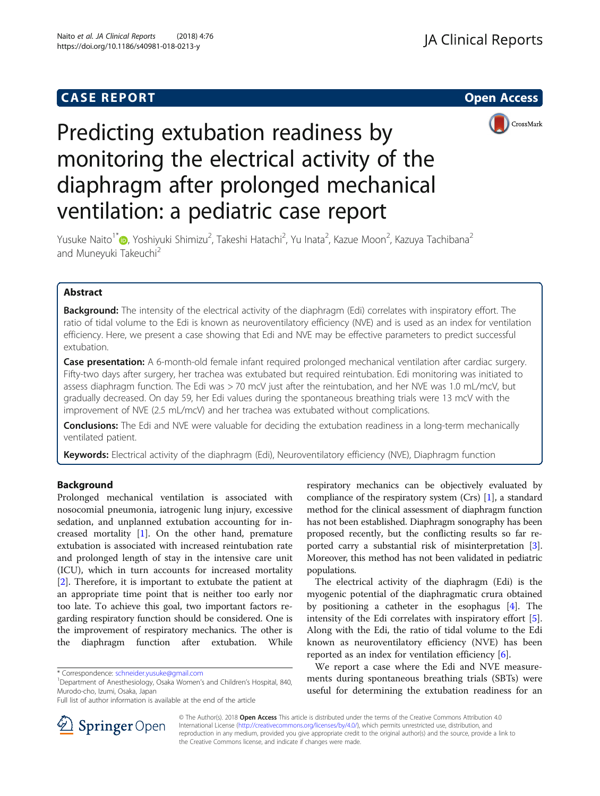## **CASE REPORT CASE REPORT CASE REPORT**



# Predicting extubation readiness by monitoring the electrical activity of the diaphragm after prolonged mechanical ventilation: a pediatric case report

Yusuke Naito<sup>1\*</sup>®[,](http://orcid.org/0000-0002-1423-812X) Yoshiyuki Shimizu<sup>2</sup>, Takeshi Hatachi<sup>2</sup>, Yu Inata<sup>2</sup>, Kazue Moon<sup>2</sup>, Kazuya Tachibana<sup>2</sup> and Muneyuki Takeuchi<sup>2</sup>

## Abstract

Background: The intensity of the electrical activity of the diaphragm (Edi) correlates with inspiratory effort. The ratio of tidal volume to the Edi is known as neuroventilatory efficiency (NVE) and is used as an index for ventilation efficiency. Here, we present a case showing that Edi and NVE may be effective parameters to predict successful extubation.

Case presentation: A 6-month-old female infant required prolonged mechanical ventilation after cardiac surgery. Fifty-two days after surgery, her trachea was extubated but required reintubation. Edi monitoring was initiated to assess diaphragm function. The Edi was > 70 mcV just after the reintubation, and her NVE was 1.0 mL/mcV, but gradually decreased. On day 59, her Edi values during the spontaneous breathing trials were 13 mcV with the improvement of NVE (2.5 mL/mcV) and her trachea was extubated without complications.

**Conclusions:** The Edi and NVE were valuable for deciding the extubation readiness in a long-term mechanically ventilated patient.

Keywords: Electrical activity of the diaphragm (Edi), Neuroventilatory efficiency (NVE), Diaphragm function

## Background

Prolonged mechanical ventilation is associated with nosocomial pneumonia, iatrogenic lung injury, excessive sedation, and unplanned extubation accounting for increased mortality [[1\]](#page-3-0). On the other hand, premature extubation is associated with increased reintubation rate and prolonged length of stay in the intensive care unit (ICU), which in turn accounts for increased mortality [[2\]](#page-3-0). Therefore, it is important to extubate the patient at an appropriate time point that is neither too early nor too late. To achieve this goal, two important factors regarding respiratory function should be considered. One is the improvement of respiratory mechanics. The other is the diaphragm function after extubation. While

<sup>1</sup>Department of Anesthesiology, Osaka Women's and Children's Hospital, 840, Murodo-cho, Izumi, Osaka, Japan

Full list of author information is available at the end of the article

respiratory mechanics can be objectively evaluated by compliance of the respiratory system (Crs) [\[1](#page-3-0)], a standard method for the clinical assessment of diaphragm function has not been established. Diaphragm sonography has been proposed recently, but the conflicting results so far reported carry a substantial risk of misinterpretation [[3](#page-3-0)]. Moreover, this method has not been validated in pediatric populations.

The electrical activity of the diaphragm (Edi) is the myogenic potential of the diaphragmatic crura obtained by positioning a catheter in the esophagus [\[4\]](#page-3-0). The intensity of the Edi correlates with inspiratory effort [\[5](#page-3-0)]. Along with the Edi, the ratio of tidal volume to the Edi known as neuroventilatory efficiency (NVE) has been reported as an index for ventilation efficiency [\[6](#page-3-0)].

We report a case where the Edi and NVE measurements during spontaneous breathing trials (SBTs) were useful for determining the extubation readiness for an



© The Author(s). 2018 Open Access This article is distributed under the terms of the Creative Commons Attribution 4.0 International License ([http://creativecommons.org/licenses/by/4.0/\)](http://creativecommons.org/licenses/by/4.0/), which permits unrestricted use, distribution, and reproduction in any medium, provided you give appropriate credit to the original author(s) and the source, provide a link to the Creative Commons license, and indicate if changes were made.

<sup>\*</sup> Correspondence: [schneider.yusuke@gmail.com](mailto:schneider.yusuke@gmail.com) <sup>1</sup>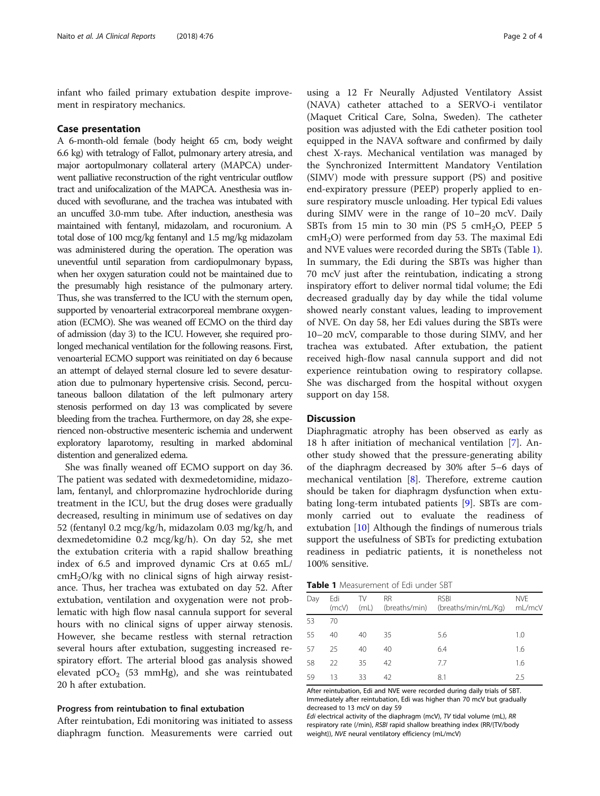<span id="page-1-0"></span>infant who failed primary extubation despite improvement in respiratory mechanics.

#### Case presentation

A 6-month-old female (body height 65 cm, body weight 6.6 kg) with tetralogy of Fallot, pulmonary artery atresia, and major aortopulmonary collateral artery (MAPCA) underwent palliative reconstruction of the right ventricular outflow tract and unifocalization of the MAPCA. Anesthesia was induced with sevoflurane, and the trachea was intubated with an uncuffed 3.0-mm tube. After induction, anesthesia was maintained with fentanyl, midazolam, and rocuronium. A total dose of 100 mcg/kg fentanyl and 1.5 mg/kg midazolam was administered during the operation. The operation was uneventful until separation from cardiopulmonary bypass, when her oxygen saturation could not be maintained due to the presumably high resistance of the pulmonary artery. Thus, she was transferred to the ICU with the sternum open, supported by venoarterial extracorporeal membrane oxygenation (ECMO). She was weaned off ECMO on the third day of admission (day 3) to the ICU. However, she required prolonged mechanical ventilation for the following reasons. First, venoarterial ECMO support was reinitiated on day 6 because an attempt of delayed sternal closure led to severe desaturation due to pulmonary hypertensive crisis. Second, percutaneous balloon dilatation of the left pulmonary artery stenosis performed on day 13 was complicated by severe bleeding from the trachea. Furthermore, on day 28, she experienced non-obstructive mesenteric ischemia and underwent exploratory laparotomy, resulting in marked abdominal distention and generalized edema.

She was finally weaned off ECMO support on day 36. The patient was sedated with dexmedetomidine, midazolam, fentanyl, and chlorpromazine hydrochloride during treatment in the ICU, but the drug doses were gradually decreased, resulting in minimum use of sedatives on day 52 (fentanyl 0.2 mcg/kg/h, midazolam 0.03 mg/kg/h, and dexmedetomidine 0.2 mcg/kg/h). On day 52, she met the extubation criteria with a rapid shallow breathing index of 6.5 and improved dynamic Crs at 0.65 mL/  $cmH<sub>2</sub>O/kg$  with no clinical signs of high airway resistance. Thus, her trachea was extubated on day 52. After extubation, ventilation and oxygenation were not problematic with high flow nasal cannula support for several hours with no clinical signs of upper airway stenosis. However, she became restless with sternal retraction several hours after extubation, suggesting increased respiratory effort. The arterial blood gas analysis showed elevated  $pCO<sub>2</sub>$  (53 mmHg), and she was reintubated 20 h after extubation.

#### Progress from reintubation to final extubation

After reintubation, Edi monitoring was initiated to assess diaphragm function. Measurements were carried out

using a 12 Fr Neurally Adjusted Ventilatory Assist (NAVA) catheter attached to a SERVO-i ventilator (Maquet Critical Care, Solna, Sweden). The catheter position was adjusted with the Edi catheter position tool equipped in the NAVA software and confirmed by daily chest X-rays. Mechanical ventilation was managed by the Synchronized Intermittent Mandatory Ventilation (SIMV) mode with pressure support (PS) and positive end-expiratory pressure (PEEP) properly applied to ensure respiratory muscle unloading. Her typical Edi values during SIMV were in the range of 10–20 mcV. Daily SBTs from 15 min to 30 min (PS 5 cmH<sub>2</sub>O, PEEP 5  $cmH<sub>2</sub>O$ ) were performed from day 53. The maximal Edi and NVE values were recorded during the SBTs (Table 1). In summary, the Edi during the SBTs was higher than 70 mcV just after the reintubation, indicating a strong inspiratory effort to deliver normal tidal volume; the Edi decreased gradually day by day while the tidal volume showed nearly constant values, leading to improvement of NVE. On day 58, her Edi values during the SBTs were 10–20 mcV, comparable to those during SIMV, and her trachea was extubated. After extubation, the patient received high-flow nasal cannula support and did not experience reintubation owing to respiratory collapse. She was discharged from the hospital without oxygen support on day 158.

#### **Discussion**

Diaphragmatic atrophy has been observed as early as 18 h after initiation of mechanical ventilation [[7\]](#page-3-0). Another study showed that the pressure-generating ability of the diaphragm decreased by 30% after 5–6 days of mechanical ventilation [\[8](#page-3-0)]. Therefore, extreme caution should be taken for diaphragm dysfunction when extubating long-term intubated patients [[9\]](#page-3-0). SBTs are commonly carried out to evaluate the readiness of extubation [\[10](#page-3-0)] Although the findings of numerous trials support the usefulness of SBTs for predicting extubation readiness in pediatric patients, it is nonetheless not 100% sensitive.

|  | Table 1 Measurement of Edi under SBT |  |  |
|--|--------------------------------------|--|--|

| Day | Edi<br>(mcV) | TV<br>(mL) | <b>RR</b> | <b>RSBI</b><br>(breaths/min) (breaths/min/mL/Kg) | <b>NVE</b><br>mL/mcV |
|-----|--------------|------------|-----------|--------------------------------------------------|----------------------|
| 53  | 70           |            |           |                                                  |                      |
| 55  | 40           | 40         | 35        | 5.6                                              | 1.0                  |
| -57 | 25           | 40         | 40        | 6.4                                              | 1.6                  |
| 58  | 22           | 35         | 42        | 7.7                                              | 1.6                  |
| 59  | 13           | 33         | 42        | 8.1                                              | 25                   |

After reintubation, Edi and NVE were recorded during daily trials of SBT. Immediately after reintubation, Edi was higher than 70 mcV but gradually decreased to 13 mcV on day 59

Edi electrical activity of the diaphragm (mcV), TV tidal volume (mL), RR respiratory rate (/min), RSBI rapid shallow breathing index (RR/{TV/body weight}), NVE neural ventilatory efficiency (mL/mcV)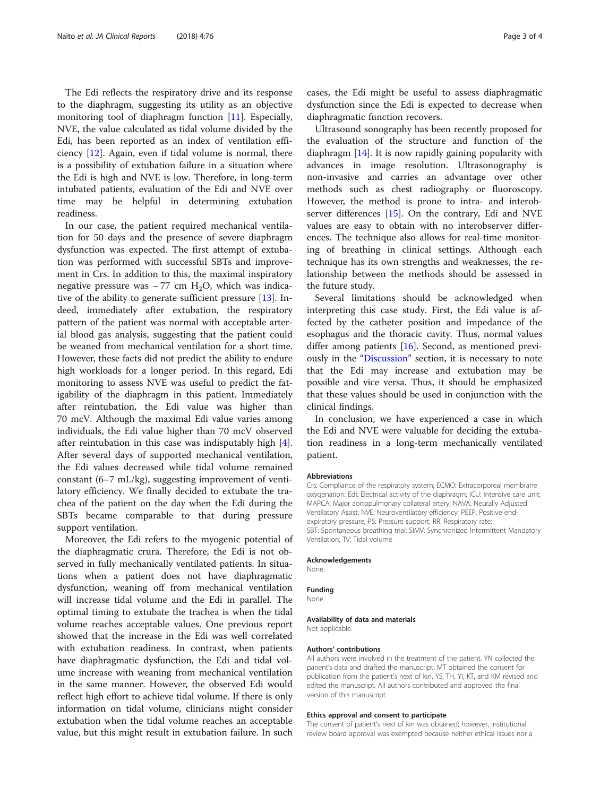The Edi reflects the respiratory drive and its response to the diaphragm, suggesting its utility as an objective monitoring tool of diaphragm function [\[11\]](#page-3-0). Especially, NVE, the value calculated as tidal volume divided by the Edi, has been reported as an index of ventilation efficiency [\[12\]](#page-3-0). Again, even if tidal volume is normal, there is a possibility of extubation failure in a situation where the Edi is high and NVE is low. Therefore, in long-term intubated patients, evaluation of the Edi and NVE over time may be helpful in determining extubation readiness.

In our case, the patient required mechanical ventilation for 50 days and the presence of severe diaphragm dysfunction was expected. The first attempt of extubation was performed with successful SBTs and improvement in Crs. In addition to this, the maximal inspiratory negative pressure was  $-77$  cm H<sub>2</sub>O, which was indicative of the ability to generate sufficient pressure [[13\]](#page-3-0). Indeed, immediately after extubation, the respiratory pattern of the patient was normal with acceptable arterial blood gas analysis, suggesting that the patient could be weaned from mechanical ventilation for a short time. However, these facts did not predict the ability to endure high workloads for a longer period. In this regard, Edi monitoring to assess NVE was useful to predict the fatigability of the diaphragm in this patient. Immediately after reintubation, the Edi value was higher than 70 mcV. Although the maximal Edi value varies among individuals, the Edi value higher than 70 mcV observed after reintubation in this case was indisputably high [\[4](#page-3-0)]. After several days of supported mechanical ventilation, the Edi values decreased while tidal volume remained constant (6–7 mL/kg), suggesting improvement of ventilatory efficiency. We finally decided to extubate the trachea of the patient on the day when the Edi during the SBTs became comparable to that during pressure support ventilation.

Moreover, the Edi refers to the myogenic potential of the diaphragmatic crura. Therefore, the Edi is not observed in fully mechanically ventilated patients. In situations when a patient does not have diaphragmatic dysfunction, weaning off from mechanical ventilation will increase tidal volume and the Edi in parallel. The optimal timing to extubate the trachea is when the tidal volume reaches acceptable values. One previous report showed that the increase in the Edi was well correlated with extubation readiness. In contrast, when patients have diaphragmatic dysfunction, the Edi and tidal volume increase with weaning from mechanical ventilation in the same manner. However, the observed Edi would reflect high effort to achieve tidal volume. If there is only information on tidal volume, clinicians might consider extubation when the tidal volume reaches an acceptable value, but this might result in extubation failure. In such

cases, the Edi might be useful to assess diaphragmatic dysfunction since the Edi is expected to decrease when diaphragmatic function recovers.

Ultrasound sonography has been recently proposed for the evaluation of the structure and function of the diaphragm [[14](#page-3-0)]. It is now rapidly gaining popularity with advances in image resolution. Ultrasonography is non-invasive and carries an advantage over other methods such as chest radiography or fluoroscopy. However, the method is prone to intra- and interobserver differences [[15](#page-3-0)]. On the contrary, Edi and NVE values are easy to obtain with no interobserver differences. The technique also allows for real-time monitoring of breathing in clinical settings. Although each technique has its own strengths and weaknesses, the relationship between the methods should be assessed in the future study.

Several limitations should be acknowledged when interpreting this case study. First, the Edi value is affected by the catheter position and impedance of the esophagus and the thoracic cavity. Thus, normal values differ among patients [[16](#page-3-0)]. Second, as mentioned previously in the "[Discussion](#page-1-0)" section, it is necessary to note that the Edi may increase and extubation may be possible and vice versa. Thus, it should be emphasized that these values should be used in conjunction with the clinical findings.

In conclusion, we have experienced a case in which the Edi and NVE were valuable for deciding the extubation readiness in a long-term mechanically ventilated patient.

#### Abbreviations

Crs: Compliance of the respiratory system; ECMO: Extracorporeal membrane oxygenation; Edi: Electrical activity of the diaphragm; ICU: Intensive care unit; MAPCA: Major aortopulmonary collateral artery; NAVA: Neurally Adjusted Ventilatory Assist; NVE: Neuroventilatory efficiency; PEEP: Positive endexpiratory pressure; PS: Pressure support; RR: Respiratory rate; SBT: Spontaneous breathing trial; SIMV: Synchronized Intermittent Mandatory Ventilation; TV: Tidal volume

#### Acknowledgements

None.

#### Funding

None.

#### Availability of data and materials

Not applicable.

#### Authors' contributions

All authors were involved in the treatment of the patient. YN collected the patient's data and drafted the manuscript. MT obtained the consent for publication from the patient's next of kin. YS, TH, YI, KT, and KM revised and edited the manuscript. All authors contributed and approved the final version of this manuscript.

#### Ethics approval and consent to participate

The consent of patient's next of kin was obtained; however, institutional review board approval was exempted because neither ethical issues nor a